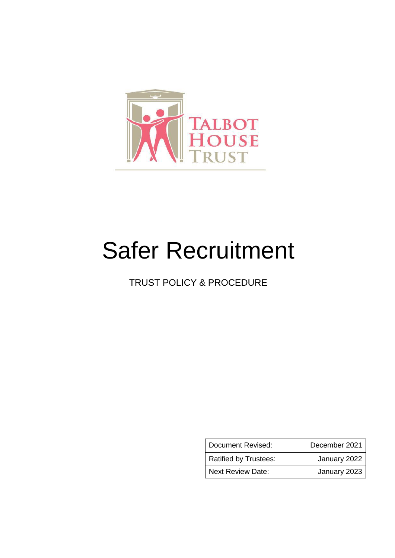

# Safer Recruitment

TRUST POLICY & PROCEDURE

| Document Revised:            | December 2021 |
|------------------------------|---------------|
| <b>Ratified by Trustees:</b> | January 2022  |
| <b>Next Review Date:</b>     | January 2023  |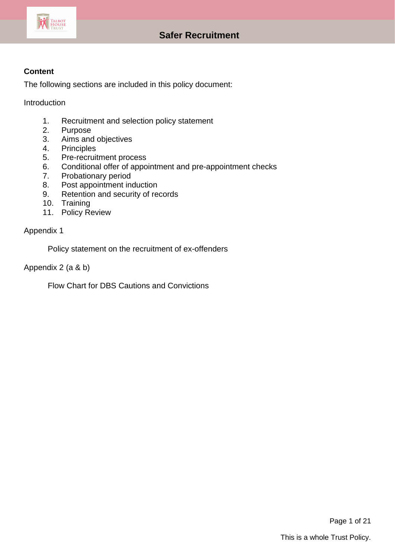

## **Content**

The following sections are included in this policy document:

Introduction

- 1. Recruitment and selection policy statement<br>2. Purpose
- **Purpose**
- 3. Aims and objectives
- 4. Principles
- 5. Pre-recruitment process
- 6. Conditional offer of appointment and pre-appointment checks
- 7. Probationary period
- 8. Post appointment induction
- 9. Retention and security of records
- 10. Training
- 11. Policy Review

Appendix 1

Policy statement on the recruitment of ex-offenders

Appendix 2 (a & b)

Flow Chart for DBS Cautions and Convictions

Page 1 of 21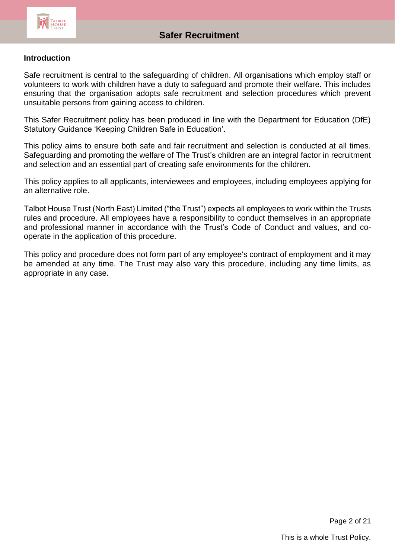

#### **Introduction**

Safe recruitment is central to the safeguarding of children. All organisations which employ staff or volunteers to work with children have a duty to safeguard and promote their welfare. This includes ensuring that the organisation adopts safe recruitment and selection procedures which prevent unsuitable persons from gaining access to children.

This Safer Recruitment policy has been produced in line with the Department for Education (DfE) Statutory Guidance 'Keeping Children Safe in Education'.

This policy aims to ensure both safe and fair recruitment and selection is conducted at all times. Safeguarding and promoting the welfare of The Trust's children are an integral factor in recruitment and selection and an essential part of creating safe environments for the children.

This policy applies to all applicants, interviewees and employees, including employees applying for an alternative role.

Talbot House Trust (North East) Limited ("the Trust") expects all employees to work within the Trusts rules and procedure. All employees have a responsibility to conduct themselves in an appropriate and professional manner in accordance with the Trust's Code of Conduct and values, and cooperate in the application of this procedure.

This policy and procedure does not form part of any employee's contract of employment and it may be amended at any time. The Trust may also vary this procedure, including any time limits, as appropriate in any case.

Page 2 of 21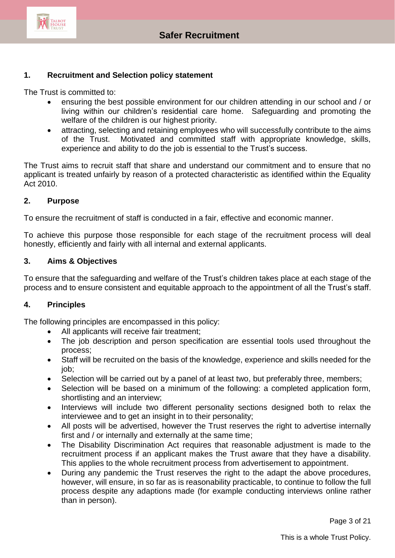

#### **1. Recruitment and Selection policy statement**

The Trust is committed to:

- ensuring the best possible environment for our children attending in our school and / or living within our children's residential care home. Safeguarding and promoting the welfare of the children is our highest priority.
- attracting, selecting and retaining employees who will successfully contribute to the aims of the Trust. Motivated and committed staff with appropriate knowledge, skills, experience and ability to do the job is essential to the Trust's success.

The Trust aims to recruit staff that share and understand our commitment and to ensure that no applicant is treated unfairly by reason of a protected characteristic as identified within the Equality Act 2010.

#### **2. Purpose**

To ensure the recruitment of staff is conducted in a fair, effective and economic manner.

To achieve this purpose those responsible for each stage of the recruitment process will deal honestly, efficiently and fairly with all internal and external applicants.

#### **3. Aims & Objectives**

To ensure that the safeguarding and welfare of the Trust's children takes place at each stage of the process and to ensure consistent and equitable approach to the appointment of all the Trust's staff.

#### **4. Principles**

The following principles are encompassed in this policy:

- All applicants will receive fair treatment;
- The job description and person specification are essential tools used throughout the process;
- Staff will be recruited on the basis of the knowledge, experience and skills needed for the job;
- Selection will be carried out by a panel of at least two, but preferably three, members;
- Selection will be based on a minimum of the following: a completed application form, shortlisting and an interview;
- Interviews will include two different personality sections designed both to relax the interviewee and to get an insight in to their personality;
- All posts will be advertised, however the Trust reserves the right to advertise internally first and / or internally and externally at the same time;
- The Disability Discrimination Act requires that reasonable adjustment is made to the recruitment process if an applicant makes the Trust aware that they have a disability. This applies to the whole recruitment process from advertisement to appointment.
- During any pandemic the Trust reserves the right to the adapt the above procedures, however, will ensure, in so far as is reasonability practicable, to continue to follow the full process despite any adaptions made (for example conducting interviews online rather than in person).

Page 3 of 21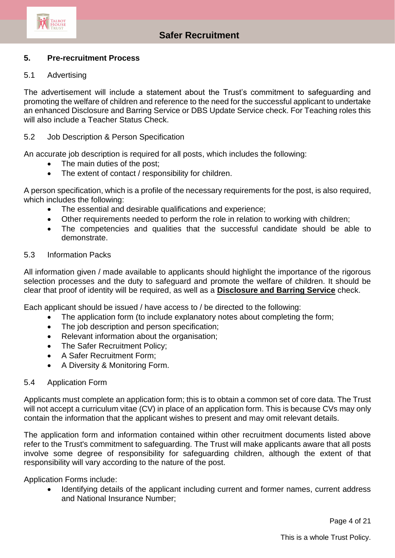

#### **5. Pre-recruitment Process**

#### 5.1 Advertising

The advertisement will include a statement about the Trust's commitment to safeguarding and promoting the welfare of children and reference to the need for the successful applicant to undertake an enhanced Disclosure and Barring Service or DBS Update Service check. For Teaching roles this will also include a Teacher Status Check.

#### 5.2 Job Description & Person Specification

An accurate job description is required for all posts, which includes the following:

- The main duties of the post;
- The extent of contact / responsibility for children.

A person specification, which is a profile of the necessary requirements for the post, is also required, which includes the following:

- The essential and desirable qualifications and experience;
- Other requirements needed to perform the role in relation to working with children;
- The competencies and qualities that the successful candidate should be able to demonstrate.

#### 5.3 Information Packs

All information given / made available to applicants should highlight the importance of the rigorous selection processes and the duty to safeguard and promote the welfare of children. It should be clear that proof of identity will be required, as well as a **[Disclosure and Barring Service](http://trixresources.proceduresonline.com/nat_key/keywords/dis_barring_service.html)** check.

Each applicant should be issued / have access to / be directed to the following:

- The application form (to include explanatory notes about completing the form;
- The job description and person specification;
- Relevant information about the organisation;
- The Safer Recruitment Policy;
- A Safer Recruitment Form;
- A Diversity & Monitoring Form.

#### 5.4 Application Form

Applicants must complete an application form; this is to obtain a common set of core data. The Trust will not accept a curriculum vitae (CV) in place of an application form. This is because CVs may only contain the information that the applicant wishes to present and may omit relevant details.

The application form and information contained within other recruitment documents listed above refer to the Trust's commitment to safeguarding. The Trust will make applicants aware that all posts involve some degree of responsibility for safeguarding children, although the extent of that responsibility will vary according to the nature of the post.

Application Forms include:

 Identifying details of the applicant including current and former names, current address and National Insurance Number;

Page 4 of 21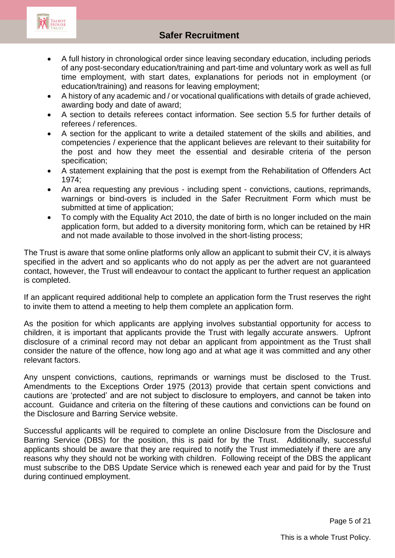

- A full history in chronological order since leaving secondary education, including periods of any post-secondary education/training and part-time and voluntary work as well as full time employment, with start dates, explanations for periods not in employment (or education/training) and reasons for leaving employment;
- A history of any academic and / or vocational qualifications with details of grade achieved, awarding body and date of award;
- A section to details referees contact information. See section 5.5 for further details of referees / references.
- A section for the applicant to write a detailed statement of the skills and abilities, and competencies / experience that the applicant believes are relevant to their suitability for the post and how they meet the essential and desirable criteria of the person specification;
- A statement explaining that the post is exempt from the Rehabilitation of Offenders Act 1974;
- An area requesting any previous including spent convictions, cautions, reprimands, warnings or bind-overs is included in the Safer Recruitment Form which must be submitted at time of application;
- To comply with the Equality Act 2010, the date of birth is no longer included on the main application form, but added to a diversity monitoring form, which can be retained by HR and not made available to those involved in the short-listing process;

The Trust is aware that some online platforms only allow an applicant to submit their CV, it is always specified in the advert and so applicants who do not apply as per the advert are not guaranteed contact, however, the Trust will endeavour to contact the applicant to further request an application is completed.

If an applicant required additional help to complete an application form the Trust reserves the right to invite them to attend a meeting to help them complete an application form.

As the position for which applicants are applying involves substantial opportunity for access to children, it is important that applicants provide the Trust with legally accurate answers. Upfront disclosure of a criminal record may not debar an applicant from appointment as the Trust shall consider the nature of the offence, how long ago and at what age it was committed and any other relevant factors.

Any unspent convictions, cautions, reprimands or warnings must be disclosed to the Trust. Amendments to the Exceptions Order 1975 (2013) provide that certain spent convictions and cautions are 'protected' and are not subject to disclosure to employers, and cannot be taken into account. Guidance and criteria on the filtering of these cautions and convictions can be found on the Disclosure and Barring Service website.

Successful applicants will be required to complete an online Disclosure from the Disclosure and Barring Service (DBS) for the position, this is paid for by the Trust. Additionally, successful applicants should be aware that they are required to notify the Trust immediately if there are any reasons why they should not be working with children. Following receipt of the DBS the applicant must subscribe to the DBS Update Service which is renewed each year and paid for by the Trust during continued employment.

Page 5 of 21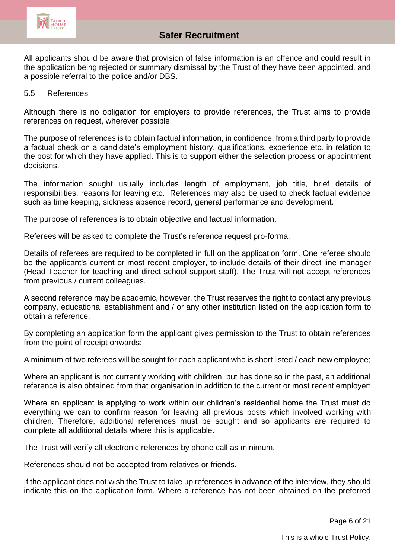

All applicants should be aware that provision of false information is an offence and could result in the application being rejected or summary dismissal by the Trust of they have been appointed, and a possible referral to the police and/or DBS.

#### 5.5 References

Although there is no obligation for employers to provide references, the Trust aims to provide references on request, wherever possible.

The purpose of references is to obtain factual information, in confidence, from a third party to provide a factual check on a candidate's employment history, qualifications, experience etc. in relation to the post for which they have applied. This is to support either the selection process or appointment decisions.

The information sought usually includes length of employment, job title, brief details of responsibilities, reasons for leaving etc. References may also be used to check factual evidence such as time keeping, sickness absence record, general performance and development.

The purpose of references is to obtain objective and factual information.

Referees will be asked to complete the Trust's reference request pro-forma.

Details of referees are required to be completed in full on the application form. One referee should be the applicant's current or most recent employer, to include details of their direct line manager (Head Teacher for teaching and direct school support staff). The Trust will not accept references from previous / current colleagues.

A second reference may be academic, however, the Trust reserves the right to contact any previous company, educational establishment and / or any other institution listed on the application form to obtain a reference.

By completing an application form the applicant gives permission to the Trust to obtain references from the point of receipt onwards;

A minimum of two referees will be sought for each applicant who is short listed / each new employee;

Where an applicant is not currently working with children, but has done so in the past, an additional reference is also obtained from that organisation in addition to the current or most recent employer;

Where an applicant is applying to work within our children's residential home the Trust must do everything we can to confirm reason for leaving all previous posts which involved working with children. Therefore, additional references must be sought and so applicants are required to complete all additional details where this is applicable.

The Trust will verify all electronic references by phone call as minimum.

References should not be accepted from relatives or friends.

If the applicant does not wish the Trust to take up references in advance of the interview, they should indicate this on the application form. Where a reference has not been obtained on the preferred

Page 6 of 21

This is a whole Trust Policy.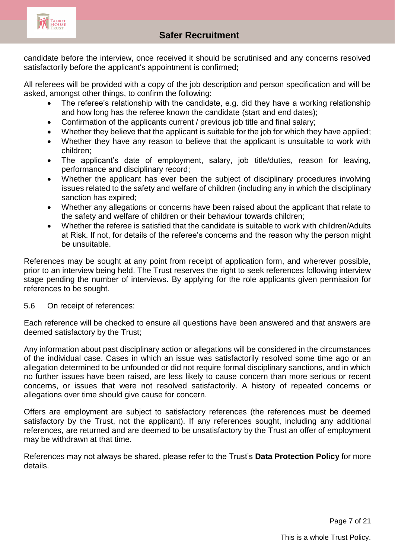

candidate before the interview, once received it should be scrutinised and any concerns resolved satisfactorily before the applicant's appointment is confirmed;

All referees will be provided with a copy of the job description and person specification and will be asked, amongst other things, to confirm the following:

- The referee's relationship with the candidate, e.g. did they have a working relationship and how long has the referee known the candidate (start and end dates);
- Confirmation of the applicants current / previous job title and final salary;
- Whether they believe that the applicant is suitable for the job for which they have applied;
- Whether they have any reason to believe that the applicant is unsuitable to work with children;
- The applicant's date of employment, salary, job title/duties, reason for leaving, performance and disciplinary record;
- Whether the applicant has ever been the subject of disciplinary procedures involving issues related to the safety and welfare of children (including any in which the disciplinary sanction has expired;
- Whether any allegations or concerns have been raised about the applicant that relate to the safety and welfare of children or their behaviour towards children;
- Whether the referee is satisfied that the candidate is suitable to work with children/Adults at Risk. If not, for details of the referee's concerns and the reason why the person might be unsuitable.

References may be sought at any point from receipt of application form, and wherever possible, prior to an interview being held. The Trust reserves the right to seek references following interview stage pending the number of interviews. By applying for the role applicants given permission for references to be sought.

## 5.6 On receipt of references:

Each reference will be checked to ensure all questions have been answered and that answers are deemed satisfactory by the Trust;

Any information about past disciplinary action or allegations will be considered in the circumstances of the individual case. Cases in which an issue was satisfactorily resolved some time ago or an allegation determined to be unfounded or did not require formal disciplinary sanctions, and in which no further issues have been raised, are less likely to cause concern than more serious or recent concerns, or issues that were not resolved satisfactorily. A history of repeated concerns or allegations over time should give cause for concern.

Offers are employment are subject to satisfactory references (the references must be deemed satisfactory by the Trust, not the applicant). If any references sought, including any additional references, are returned and are deemed to be unsatisfactory by the Trust an offer of employment may be withdrawn at that time.

References may not always be shared, please refer to the Trust's **Data Protection Policy** for more details.

Page 7 of 21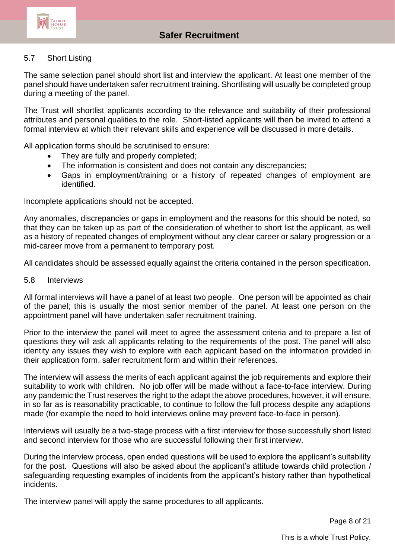

#### 5.7 Short Listing

The same selection panel should short list and interview the applicant. At least one member of the panel should have undertaken safer recruitment training. Shortlisting will usually be completed group during a meeting of the panel.

The Trust will shortlist applicants according to the relevance and suitability of their professional attributes and personal qualities to the role. Short-listed applicants will then be invited to attend a formal interview at which their relevant skills and experience will be discussed in more details.

All application forms should be scrutinised to ensure:

- They are fully and properly completed;
- The information is consistent and does not contain any discrepancies;
- Gaps in employment/training or a history of repeated changes of employment are identified.

Incomplete applications should not be accepted.

Any anomalies, discrepancies or gaps in employment and the reasons for this should be noted, so that they can be taken up as part of the consideration of whether to short list the applicant, as well as a history of repeated changes of employment without any clear career or salary progression or a mid-career move from a permanent to temporary post.

All candidates should be assessed equally against the criteria contained in the person specification.

5.8 Interviews

All formal interviews will have a panel of at least two people. One person will be appointed as chair of the panel; this is usually the most senior member of the panel. At least one person on the appointment panel will have undertaken safer recruitment training.

Prior to the interview the panel will meet to agree the assessment criteria and to prepare a list of questions they will ask all applicants relating to the requirements of the post. The panel will also identity any issues they wish to explore with each applicant based on the information provided in their application form, safer recruitment form and within their references.

The interview will assess the merits of each applicant against the job requirements and explore their suitability to work with children. No job offer will be made without a face-to-face interview. During any pandemic the Trust reserves the right to the adapt the above procedures, however, it will ensure, in so far as is reasonability practicable, to continue to follow the full process despite any adaptions made (for example the need to hold interviews online may prevent face-to-face in person).

Interviews will usually be a two-stage process with a first interview for those successfully short listed and second interview for those who are successful following their first interview.

During the interview process, open ended questions will be used to explore the applicant's suitability for the post. Questions will also be asked about the applicant's attitude towards child protection / safeguarding requesting examples of incidents from the applicant's history rather than hypothetical incidents.

The interview panel will apply the same procedures to all applicants.

Page 8 of 21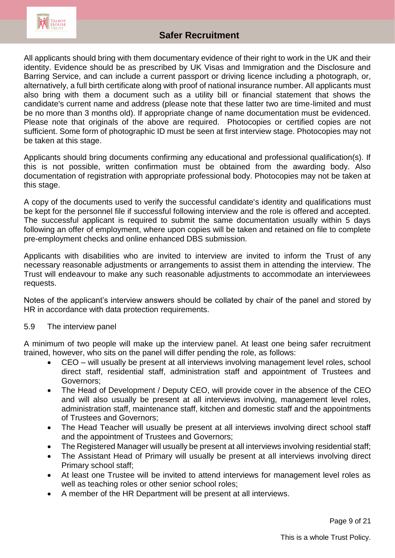

All applicants should bring with them documentary evidence of their right to work in the UK and their identity. Evidence should be as prescribed by UK Visas and Immigration and the Disclosure and Barring Service, and can include a current passport or driving licence including a photograph, or, alternatively, a full birth certificate along with proof of national insurance number. All applicants must also bring with them a document such as a utility bill or financial statement that shows the candidate's current name and address (please note that these latter two are time-limited and must be no more than 3 months old). If appropriate change of name documentation must be evidenced. Please note that originals of the above are required. Photocopies or certified copies are not sufficient. Some form of photographic ID must be seen at first interview stage. Photocopies may not be taken at this stage.

Applicants should bring documents confirming any educational and professional qualification(s). If this is not possible, written confirmation must be obtained from the awarding body. Also documentation of registration with appropriate professional body. Photocopies may not be taken at this stage.

A copy of the documents used to verify the successful candidate's identity and qualifications must be kept for the personnel file if successful following interview and the role is offered and accepted. The successful applicant is required to submit the same documentation usually within 5 days following an offer of employment, where upon copies will be taken and retained on file to complete pre-employment checks and online enhanced DBS submission.

Applicants with disabilities who are invited to interview are invited to inform the Trust of any necessary reasonable adjustments or arrangements to assist them in attending the interview. The Trust will endeavour to make any such reasonable adjustments to accommodate an interviewees requests.

Notes of the applicant's interview answers should be collated by chair of the panel and stored by HR in accordance with data protection requirements.

#### 5.9 The interview panel

A minimum of two people will make up the interview panel. At least one being safer recruitment trained, however, who sits on the panel will differ pending the role, as follows:

- CEO will usually be present at all interviews involving management level roles, school direct staff, residential staff, administration staff and appointment of Trustees and Governors;
- The Head of Development / Deputy CEO, will provide cover in the absence of the CEO and will also usually be present at all interviews involving, management level roles, administration staff, maintenance staff, kitchen and domestic staff and the appointments of Trustees and Governors;
- The Head Teacher will usually be present at all interviews involving direct school staff and the appointment of Trustees and Governors;
- The Registered Manager will usually be present at all interviews involving residential staff;
- The Assistant Head of Primary will usually be present at all interviews involving direct Primary school staff;
- At least one Trustee will be invited to attend interviews for management level roles as well as teaching roles or other senior school roles;
- A member of the HR Department will be present at all interviews.

Page 9 of 21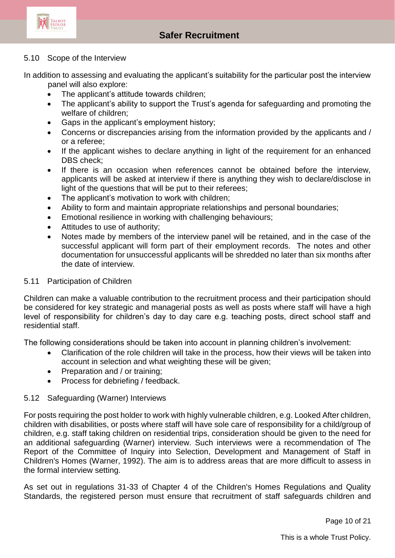

# **Allegations Safer Recruitment**

#### 5.10 Scope of the Interview

In addition to assessing and evaluating the applicant's suitability for the particular post the interview panel will also explore:

- The applicant's attitude towards children;
- The applicant's ability to support the Trust's agenda for safeguarding and promoting the welfare of children;
- Gaps in the applicant's employment history;
- Concerns or discrepancies arising from the information provided by the applicants and / or a referee;
- If the applicant wishes to declare anything in light of the requirement for an enhanced DBS check;
- If there is an occasion when references cannot be obtained before the interview, applicants will be asked at interview if there is anything they wish to declare/disclose in light of the questions that will be put to their referees;
- The applicant's motivation to work with children;
- Ability to form and maintain appropriate relationships and personal boundaries;
- Emotional resilience in working with challenging behaviours;
- Attitudes to use of authority:
- Notes made by members of the interview panel will be retained, and in the case of the successful applicant will form part of their employment records. The notes and other documentation for unsuccessful applicants will be shredded no later than six months after the date of interview.

#### 5.11 Participation of Children

Children can make a valuable contribution to the recruitment process and their participation should be considered for key strategic and managerial posts as well as posts where staff will have a high level of responsibility for children's day to day care e.g. teaching posts, direct school staff and residential staff.

The following considerations should be taken into account in planning children's involvement:

- Clarification of the role children will take in the process, how their views will be taken into account in selection and what weighting these will be given;
- Preparation and / or training;
- Process for debriefing / feedback.

#### 5.12 Safeguarding (Warner) Interviews

For posts requiring the post holder to work with highly vulnerable children, e.g. Looked After children, children with disabilities, or posts where staff will have sole care of responsibility for a child/group of children, e.g. staff taking children on residential trips, consideration should be given to the need for an additional safeguarding (Warner) interview. Such interviews were a recommendation of The Report of the Committee of Inquiry into Selection, Development and Management of Staff in Children's Homes (Warner, 1992). The aim is to address areas that are more difficult to assess in the formal interview setting.

As set out in regulations 31-33 of Chapter 4 of the Children's Homes Regulations and Quality Standards, the registered person must ensure that recruitment of staff safeguards children and

Page 10 of 21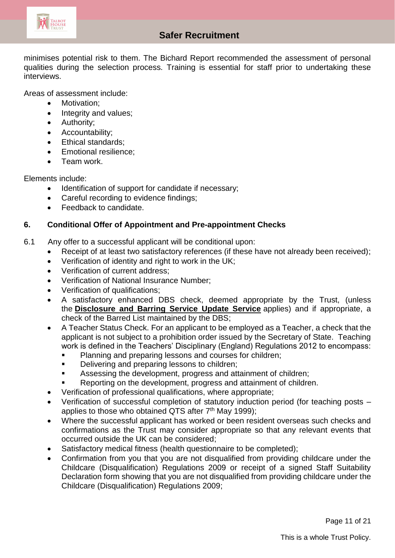

# **Allegations Safer Recruitment**

minimises potential risk to them. The Bichard Report recommended the assessment of personal qualities during the selection process. Training is essential for staff prior to undertaking these interviews.

Areas of assessment include:

- Motivation:
- Integrity and values;
- Authority;
- Accountability;
- Ethical standards:
- Emotional resilience;
- Team work.

Elements include:

- Identification of support for candidate if necessary;
- Careful recording to evidence findings;
- Feedback to candidate.

#### **6. Conditional Offer of Appointment and Pre-appointment Checks**

- 6.1 Any offer to a successful applicant will be conditional upon:
	- Receipt of at least two satisfactory references (if these have not already been received);
	- Verification of identity and right to work in the UK;
	- Verification of current address:
	- Verification of National Insurance Number;
	- Verification of qualifications;
	- A satisfactory enhanced DBS check, deemed appropriate by the Trust, (unless the **[Disclosure and Barring Service Update Service](http://trixresources.proceduresonline.com/nat_key/keywords/dislosure_barring_update_service.html)** applies) and if appropriate, a check of the Barred List maintained by the DBS;
	- A Teacher Status Check. For an applicant to be employed as a Teacher, a check that the applicant is not subject to a prohibition order issued by the Secretary of State. Teaching work is defined in the Teachers' Disciplinary (England) Regulations 2012 to encompass:
		- Planning and preparing lessons and courses for children;
		- Delivering and preparing lessons to children;
		- Assessing the development, progress and attainment of children;
		- Reporting on the development, progress and attainment of children.
	- Verification of professional qualifications, where appropriate;
	- Verification of successful completion of statutory induction period (for teaching posts applies to those who obtained QTS after  $7<sup>th</sup>$  May 1999);
	- Where the successful applicant has worked or been resident overseas such checks and confirmations as the Trust may consider appropriate so that any relevant events that occurred outside the UK can be considered;
	- Satisfactory medical fitness (health questionnaire to be completed);
	- Confirmation from you that you are not disqualified from providing childcare under the Childcare (Disqualification) Regulations 2009 or receipt of a signed Staff Suitability Declaration form showing that you are not disqualified from providing childcare under the Childcare (Disqualification) Regulations 2009;

Page 11 of 21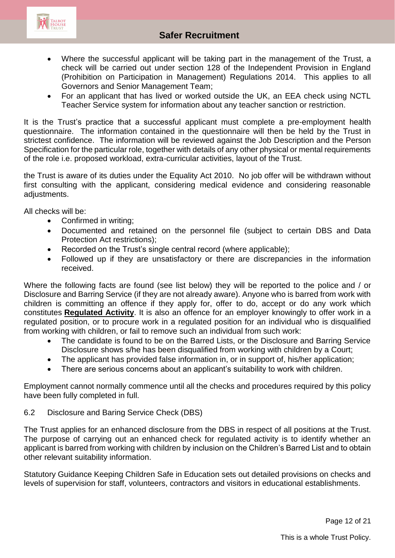

- Where the successful applicant will be taking part in the management of the Trust, a check will be carried out under section 128 of the Independent Provision in England (Prohibition on Participation in Management) Regulations 2014. This applies to all Governors and Senior Management Team;
- For an applicant that has lived or worked outside the UK, an EEA check using NCTL Teacher Service system for information about any teacher sanction or restriction.

It is the Trust's practice that a successful applicant must complete a pre-employment health questionnaire. The information contained in the questionnaire will then be held by the Trust in strictest confidence. The information will be reviewed against the Job Description and the Person Specification for the particular role, together with details of any other physical or mental requirements of the role i.e. proposed workload, extra-curricular activities, layout of the Trust.

the Trust is aware of its duties under the Equality Act 2010. No job offer will be withdrawn without first consulting with the applicant, considering medical evidence and considering reasonable adjustments.

All checks will be:

- Confirmed in writing;
- Documented and retained on the personnel file (subject to certain DBS and Data Protection Act restrictions);
- Recorded on the Trust's single central record (where applicable);
- Followed up if they are unsatisfactory or there are discrepancies in the information received.

Where the following facts are found (see list below) they will be reported to the police and / or Disclosure and Barring Service (if they are not already aware). Anyone who is barred from work with children is committing an offence if they apply for, offer to do, accept or do any work which constitutes **[Regulated Activity](http://trixresources.proceduresonline.com/nat_key/keywords/reg_activity.html)**. It is also an offence for an employer knowingly to offer work in a regulated position, or to procure work in a regulated position for an individual who is disqualified from working with children, or fail to remove such an individual from such work:

- The candidate is found to be on the Barred Lists, or the Disclosure and Barring Service Disclosure shows s/he has been disqualified from working with children by a Court;
- The applicant has provided false information in, or in support of, his/her application;
- There are serious concerns about an applicant's suitability to work with children.

Employment cannot normally commence until all the checks and procedures required by this policy have been fully completed in full.

#### 6.2 Disclosure and Baring Service Check (DBS)

The Trust applies for an enhanced disclosure from the DBS in respect of all positions at the Trust. The purpose of carrying out an enhanced check for regulated activity is to identify whether an applicant is barred from working with children by inclusion on the Children's Barred List and to obtain other relevant suitability information.

Statutory Guidance Keeping Children Safe in Education sets out detailed provisions on checks and levels of supervision for staff, volunteers, contractors and visitors in educational establishments.

Page 12 of 21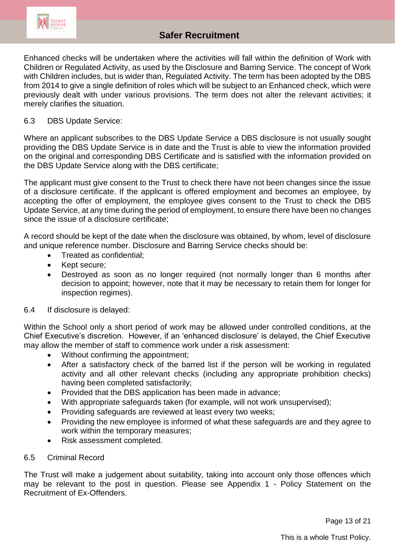

Enhanced checks will be undertaken where the activities will fall within the definition of Work with Children or Regulated Activity, as used by the Disclosure and Barring Service. The concept of Work with Children includes, but is wider than, Regulated Activity. The term has been adopted by the DBS from 2014 to give a single definition of roles which will be subject to an Enhanced check, which were previously dealt with under various provisions. The term does not alter the relevant activities; it merely clarifies the situation.

#### 6.3 DBS Update Service:

Where an applicant subscribes to the DBS Update Service a DBS disclosure is not usually sought providing the DBS Update Service is in date and the Trust is able to view the information provided on the original and corresponding DBS Certificate and is satisfied with the information provided on the DBS Update Service along with the DBS certificate;

The applicant must give consent to the Trust to check there have not been changes since the issue of a disclosure certificate. If the applicant is offered employment and becomes an employee, by accepting the offer of employment, the employee gives consent to the Trust to check the DBS Update Service, at any time during the period of employment, to ensure there have been no changes since the issue of a disclosure certificate;

A record should be kept of the date when the disclosure was obtained, by whom, level of disclosure and unique reference number. Disclosure and Barring Service checks should be:

- Treated as confidential;
- Kept secure;
- Destroyed as soon as no longer required (not normally longer than 6 months after decision to appoint; however, note that it may be necessary to retain them for longer for inspection regimes).

#### 6.4 If disclosure is delayed:

Within the School only a short period of work may be allowed under controlled conditions, at the Chief Executive's discretion. However, if an 'enhanced disclosure' is delayed, the Chief Executive may allow the member of staff to commence work under a risk assessment:

- Without confirming the appointment;
- After a satisfactory check of the barred list if the person will be working in regulated activity and all other relevant checks (including any appropriate prohibition checks) having been completed satisfactorily;
- Provided that the DBS application has been made in advance;
- With appropriate safeguards taken (for example, will not work unsupervised);
- Providing safeguards are reviewed at least every two weeks;
- Providing the new employee is informed of what these safeguards are and they agree to work within the temporary measures;
- Risk assessment completed.

#### 6.5 Criminal Record

The Trust will make a judgement about suitability, taking into account only those offences which may be relevant to the post in question. Please see Appendix 1 - Policy Statement on the Recruitment of Ex-Offenders.

Page 13 of 21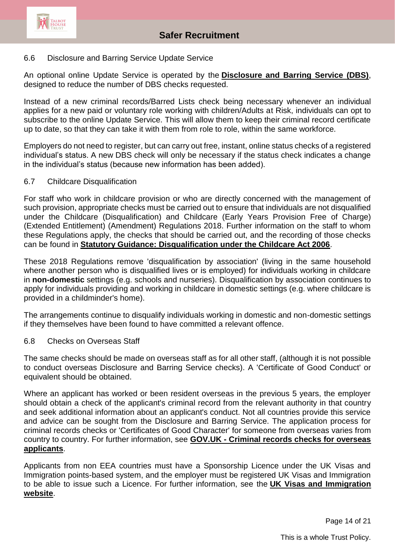

#### 6.6 Disclosure and Barring Service Update Service

An optional online Update Service is operated by the **[Disclosure and Barring Service \(DBS\)](http://trixresources.proceduresonline.com/nat_key/keywords/dis_barring_service.html)**, designed to reduce the number of DBS checks requested.

Instead of a new criminal records/Barred Lists check being necessary whenever an individual applies for a new paid or voluntary role working with children/Adults at Risk, individuals can opt to subscribe to the online Update Service. This will allow them to keep their criminal record certificate up to date, so that they can take it with them from role to role, within the same workforce.

Employers do not need to register, but can carry out free, instant, online status checks of a registered individual's status. A new DBS check will only be necessary if the status check indicates a change in the individual's status (because new information has been added).

#### 6.7 Childcare Disqualification

For staff who work in childcare provision or who are directly concerned with the management of such provision, appropriate checks must be carried out to ensure that individuals are not disqualified under the Childcare (Disqualification) and Childcare (Early Years Provision Free of Charge) (Extended Entitlement) (Amendment) Regulations 2018. Further information on the staff to whom these Regulations apply, the checks that should be carried out, and the recording of those checks can be found in **[Statutory Guidance: Disqualification under the Childcare Act 2006](https://www.gov.uk/government/publications/disqualification-under-the-childcare-act-2006/disqualification-under-the-childcare-act-2006)**.

These 2018 Regulations remove 'disqualification by association' (living in the same household where another person who is disqualified lives or is employed) for individuals working in childcare in **non-domestic** settings (e.g. schools and nurseries). Disqualification by association continues to apply for individuals providing and working in childcare in domestic settings (e.g. where childcare is provided in a childminder's home).

The arrangements continue to disqualify individuals working in domestic and non-domestic settings if they themselves have been found to have committed a relevant offence.

#### 6.8 Checks on Overseas Staff

The same checks should be made on overseas staff as for all other staff, (although it is not possible to conduct overseas Disclosure and Barring Service checks). A 'Certificate of Good Conduct' or equivalent should be obtained.

Where an applicant has worked or been resident overseas in the previous 5 years, the employer should obtain a check of the applicant's criminal record from the relevant authority in that country and seek additional information about an applicant's conduct. Not all countries provide this service and advice can be sought from the Disclosure and Barring Service. The application process for criminal records checks or 'Certificates of Good Character' for someone from overseas varies from country to country. For further information, see **GOV.UK - [Criminal records checks for overseas](https://www.gov.uk/government/publications/criminal-records-checks-for-overseas-applicants)  [applicants](https://www.gov.uk/government/publications/criminal-records-checks-for-overseas-applicants)**.

Applicants from non EEA countries must have a Sponsorship Licence under the UK Visas and Immigration points-based system, and the employer must be registered UK Visas and Immigration to be able to issue such a Licence. For further information, see the **[UK Visas and Immigration](https://www.gov.uk/government/organisations/uk-visas-and-immigration)  [website](https://www.gov.uk/government/organisations/uk-visas-and-immigration)**.

Page 14 of 21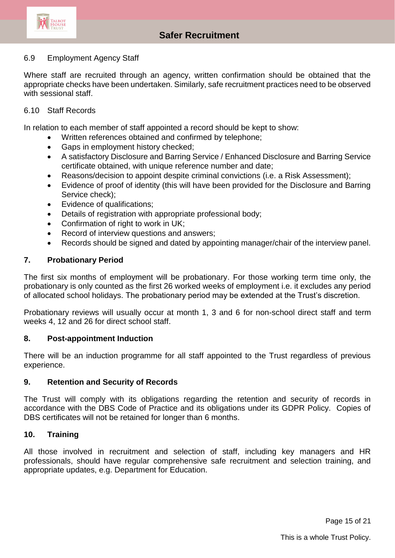

# **Allegations Safer Recruitment**

#### 6.9 Employment Agency Staff

Where staff are recruited through an agency, written confirmation should be obtained that the appropriate checks have been undertaken. Similarly, safe recruitment practices need to be observed with sessional staff.

#### 6.10 Staff Records

In relation to each member of staff appointed a record should be kept to show:

- Written references obtained and confirmed by telephone;
- Gaps in employment history checked;
- A satisfactory Disclosure and Barring Service / Enhanced Disclosure and Barring Service certificate obtained, with unique reference number and date;
- Reasons/decision to appoint despite criminal convictions (i.e. a Risk Assessment);
- Evidence of proof of identity (this will have been provided for the Disclosure and Barring Service check);
- Evidence of qualifications;
- Details of registration with appropriate professional body;
- Confirmation of right to work in UK:
- Record of interview questions and answers;
- Records should be signed and dated by appointing manager/chair of the interview panel.

#### **7. Probationary Period**

The first six months of employment will be probationary. For those working term time only, the probationary is only counted as the first 26 worked weeks of employment i.e. it excludes any period of allocated school holidays. The probationary period may be extended at the Trust's discretion.

Probationary reviews will usually occur at month 1, 3 and 6 for non-school direct staff and term weeks 4, 12 and 26 for direct school staff.

#### **8. Post-appointment Induction**

There will be an induction programme for all staff appointed to the Trust regardless of previous experience.

#### **9. Retention and Security of Records**

The Trust will comply with its obligations regarding the retention and security of records in accordance with the DBS Code of Practice and its obligations under its GDPR Policy. Copies of DBS certificates will not be retained for longer than 6 months.

#### **10. Training**

All those involved in recruitment and selection of staff, including key managers and HR professionals, should have regular comprehensive safe recruitment and selection training, and appropriate updates, e.g. Department for Education.

Page 15 of 21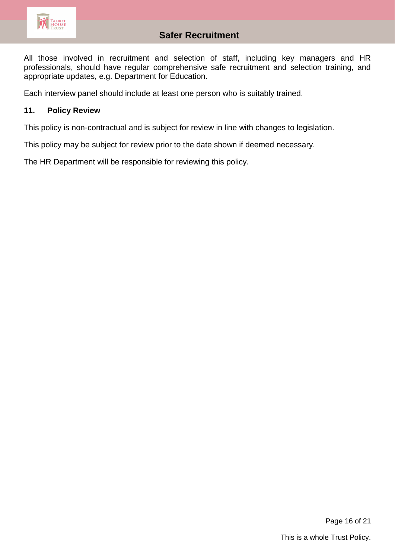

All those involved in recruitment and selection of staff, including key managers and HR professionals, should have regular comprehensive safe recruitment and selection training, and appropriate updates, e.g. Department for Education.

Each interview panel should include at least one person who is suitably trained.

#### **11. Policy Review**

This policy is non-contractual and is subject for review in line with changes to legislation.

This policy may be subject for review prior to the date shown if deemed necessary.

The HR Department will be responsible for reviewing this policy.

Page 16 of 21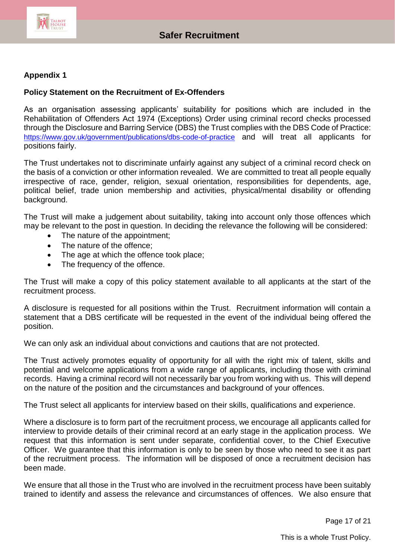

### **Appendix 1**

#### **Policy Statement on the Recruitment of Ex-Offenders**

As an organisation assessing applicants' suitability for positions which are included in the Rehabilitation of Offenders Act 1974 (Exceptions) Order using criminal record checks processed through the Disclosure and Barring Service (DBS) the Trust complies with the DBS Code of Practice: <https://www.gov.uk/government/publications/dbs-code-of-practice> and will treat all applicants for positions fairly.

The Trust undertakes not to discriminate unfairly against any subject of a criminal record check on the basis of a conviction or other information revealed. We are committed to treat all people equally irrespective of race, gender, religion, sexual orientation, responsibilities for dependents, age, political belief, trade union membership and activities, physical/mental disability or offending background.

The Trust will make a judgement about suitability, taking into account only those offences which may be relevant to the post in question. In deciding the relevance the following will be considered:

- The nature of the appointment;
- The nature of the offence:
- The age at which the offence took place;
- The frequency of the offence.

The Trust will make a copy of this policy statement available to all applicants at the start of the recruitment process.

A disclosure is requested for all positions within the Trust. Recruitment information will contain a statement that a DBS certificate will be requested in the event of the individual being offered the position.

We can only ask an individual about convictions and cautions that are not protected.

The Trust actively promotes equality of opportunity for all with the right mix of talent, skills and potential and welcome applications from a wide range of applicants, including those with criminal records. Having a criminal record will not necessarily bar you from working with us. This will depend on the nature of the position and the circumstances and background of your offences.

The Trust select all applicants for interview based on their skills, qualifications and experience.

Where a disclosure is to form part of the recruitment process, we encourage all applicants called for interview to provide details of their criminal record at an early stage in the application process. We request that this information is sent under separate, confidential cover, to the Chief Executive Officer. We guarantee that this information is only to be seen by those who need to see it as part of the recruitment process. The information will be disposed of once a recruitment decision has been made.

We ensure that all those in the Trust who are involved in the recruitment process have been suitably trained to identify and assess the relevance and circumstances of offences. We also ensure that

Page 17 of 21

This is a whole Trust Policy.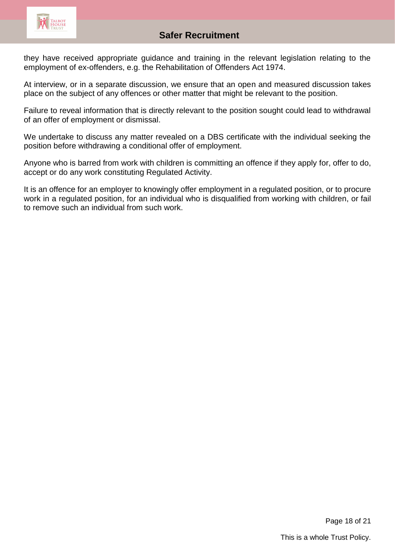

# **Allegations Safer Recruitment**

they have received appropriate guidance and training in the relevant legislation relating to the employment of ex-offenders, e.g. the Rehabilitation of Offenders Act 1974.

At interview, or in a separate discussion, we ensure that an open and measured discussion takes place on the subject of any offences or other matter that might be relevant to the position.

Failure to reveal information that is directly relevant to the position sought could lead to withdrawal of an offer of employment or dismissal.

We undertake to discuss any matter revealed on a DBS certificate with the individual seeking the position before withdrawing a conditional offer of employment.

Anyone who is barred from work with children is committing an offence if they apply for, offer to do, accept or do any work constituting Regulated Activity.

It is an offence for an employer to knowingly offer employment in a regulated position, or to procure work in a regulated position, for an individual who is disqualified from working with children, or fail to remove such an individual from such work.

Page 18 of 21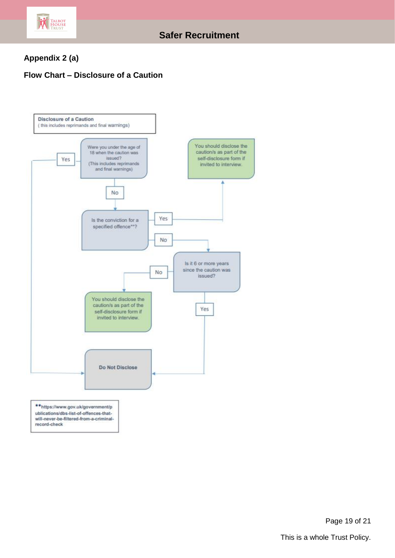

# **Appendix 2 (a)**

## **Flow Chart – Disclosure of a Caution**



Page 19 of 21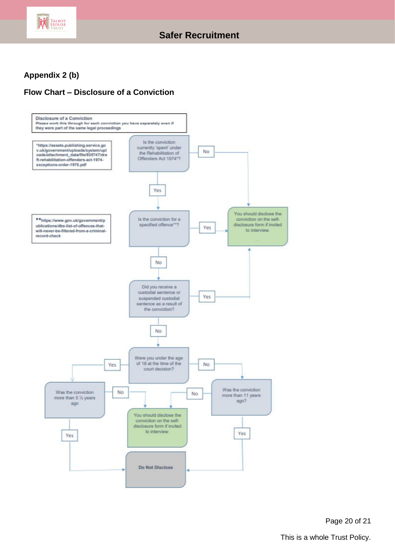

# **Appendix 2 (b)**

## **Flow Chart – Disclosure of a Conviction**



Page 20 of 21